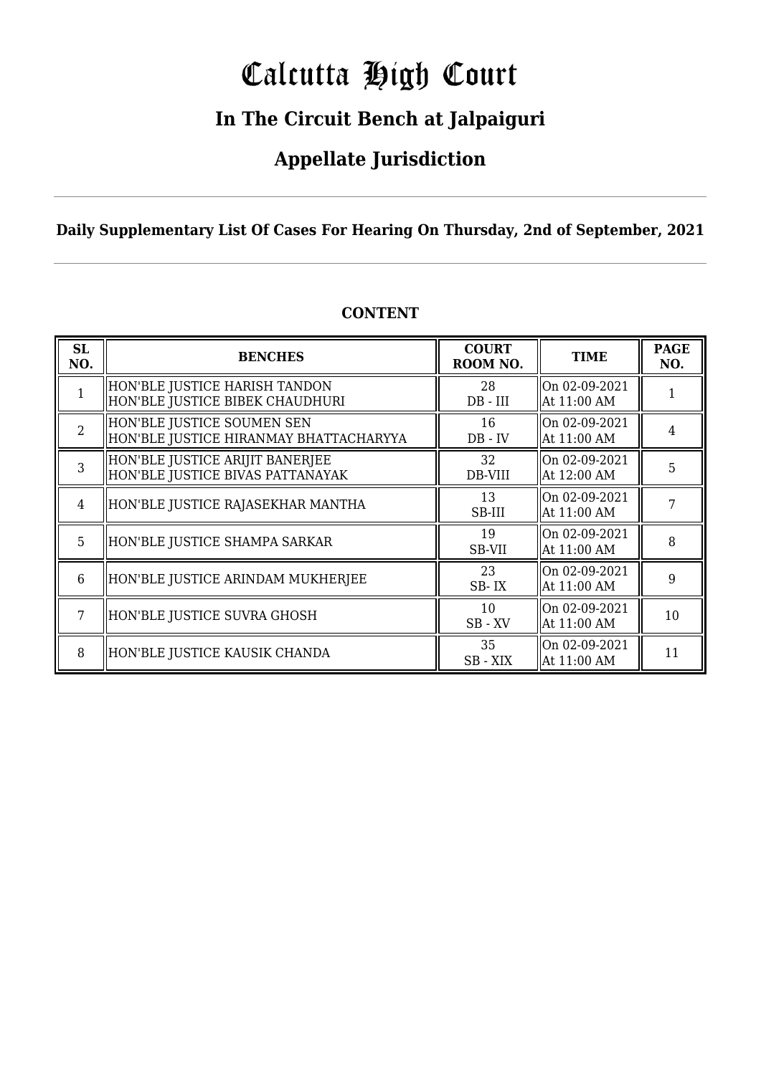# Calcutta High Court

### **In The Circuit Bench at Jalpaiguri**

### **Appellate Jurisdiction**

#### **Daily Supplementary List Of Cases For Hearing On Thursday, 2nd of September, 2021**

| SL<br>NO.      | <b>BENCHES</b>                                                       | <b>COURT</b><br>ROOM NO. | <b>TIME</b>                  | <b>PAGE</b><br>NO. |
|----------------|----------------------------------------------------------------------|--------------------------|------------------------------|--------------------|
|                | HON'BLE JUSTICE HARISH TANDON<br>HON'BLE JUSTICE BIBEK CHAUDHURI     | 28<br>$DB$ - $III$       | On 02-09-2021<br>At 11:00 AM |                    |
| $\overline{2}$ | HON'BLE JUSTICE SOUMEN SEN<br>HON'BLE JUSTICE HIRANMAY BHATTACHARYYA | 16<br>$DB - IV$          | On 02-09-2021<br>At 11:00 AM | $\overline{4}$     |
| 3              | HON'BLE JUSTICE ARIJIT BANERJEE<br>HON'BLE JUSTICE BIVAS PATTANAYAK  | 32<br>DB-VIII            | On 02-09-2021<br>At 12:00 AM | 5                  |
| 4              | HON'BLE JUSTICE RAJASEKHAR MANTHA                                    | 13<br>SB-III             | On 02-09-2021<br>At 11:00 AM | 7                  |
| 5              | HON'BLE JUSTICE SHAMPA SARKAR                                        | 19<br>SB-VII             | On 02-09-2021<br>At 11:00 AM | 8                  |
| 6              | HON'BLE JUSTICE ARINDAM MUKHERJEE                                    | 23<br>SB-IX              | On 02-09-2021<br>At 11:00 AM | 9                  |
| 7              | HON'BLE JUSTICE SUVRA GHOSH                                          | 10<br>SB-XV              | On 02-09-2021<br>At 11:00 AM | 10                 |
| 8              | HON'BLE JUSTICE KAUSIK CHANDA                                        | 35<br>SB - XIX           | On 02-09-2021<br>At 11:00 AM | 11                 |

#### **CONTENT**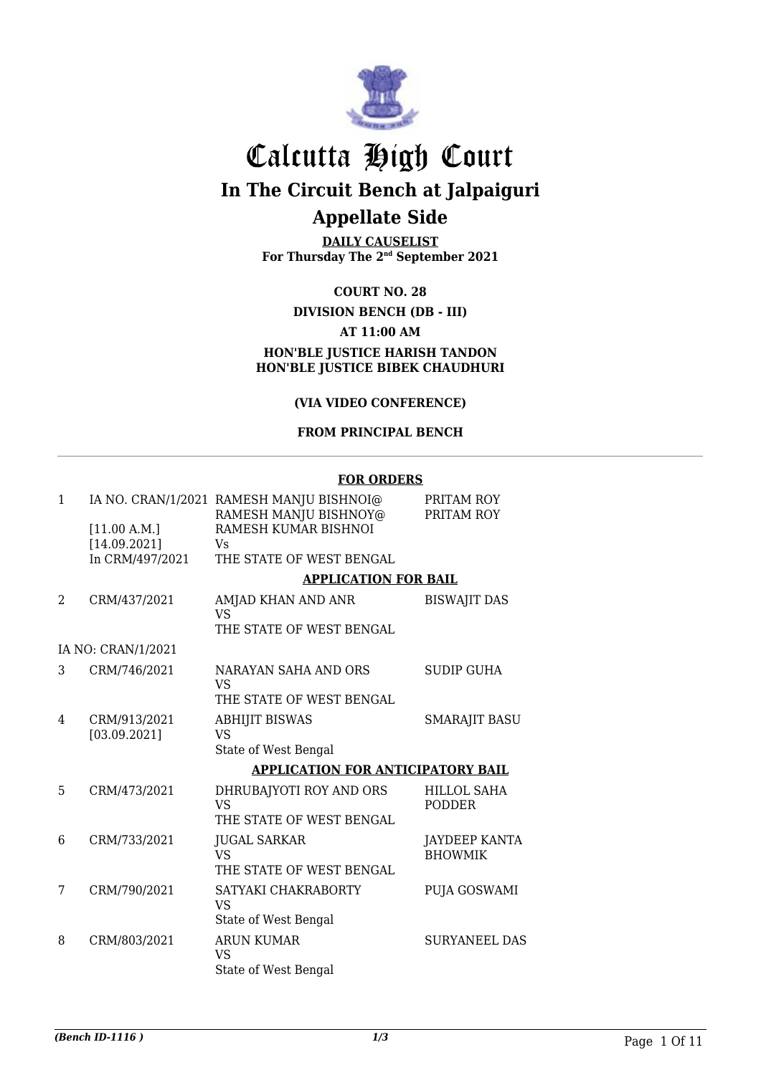

# Calcutta High Court

**In The Circuit Bench at Jalpaiguri**

### **Appellate Side**

**DAILY CAUSELIST For Thursday The 2nd September 2021**

#### **COURT NO. 28**

#### **DIVISION BENCH (DB - III) AT 11:00 AM HON'BLE JUSTICE HARISH TANDON HON'BLE JUSTICE BIBEK CHAUDHURI**

#### **(VIA VIDEO CONFERENCE)**

#### **FROM PRINCIPAL BENCH**

#### **FOR ORDERS**

| $\mathbf{1}$ |                              | IA NO. CRAN/1/2021 RAMESH MANJU BISHNOI@<br>RAMESH MANJU BISHNOY@ | PRITAM ROY<br>PRITAM ROY               |
|--------------|------------------------------|-------------------------------------------------------------------|----------------------------------------|
|              | [11.00 A.M.]<br>[14.09.2021] | RAMESH KUMAR BISHNOI<br>Vs                                        |                                        |
|              | In CRM/497/2021              | THE STATE OF WEST BENGAL                                          |                                        |
|              |                              | <b>APPLICATION FOR BAIL</b>                                       |                                        |
| 2            | CRM/437/2021                 | AMJAD KHAN AND ANR<br>VS <sub>1</sub>                             | <b>BISWAJIT DAS</b>                    |
|              |                              | THE STATE OF WEST BENGAL                                          |                                        |
|              | IA NO: CRAN/1/2021           |                                                                   |                                        |
| 3            | CRM/746/2021                 | NARAYAN SAHA AND ORS<br>VS                                        | SUDIP GUHA                             |
|              |                              | THE STATE OF WEST BENGAL.                                         |                                        |
| 4            | CRM/913/2021<br>[03.09.2021] | <b>ABHIJIT BISWAS</b><br><b>VS</b>                                | <b>SMARAJIT BASU</b>                   |
|              |                              | State of West Bengal                                              |                                        |
|              |                              | <b>APPLICATION FOR ANTICIPATORY BAIL</b>                          |                                        |
| 5            | CRM/473/2021                 | DHRUBAJYOTI ROY AND ORS<br><b>VS</b><br>THE STATE OF WEST BENGAL  | <b>HILLOL SAHA</b><br><b>PODDER</b>    |
| 6            | CRM/733/2021                 | <b>JUGAL SARKAR</b><br>VS<br>THE STATE OF WEST BENGAL.            | <b>JAYDEEP KANTA</b><br><b>BHOWMIK</b> |
| 7            | CRM/790/2021                 | SATYAKI CHAKRABORTY<br>VS<br>State of West Bengal                 | PUJA GOSWAMI                           |
| 8            | CRM/803/2021                 | <b>ARUN KUMAR</b><br>VS<br>State of West Bengal                   | <b>SURYANEEL DAS</b>                   |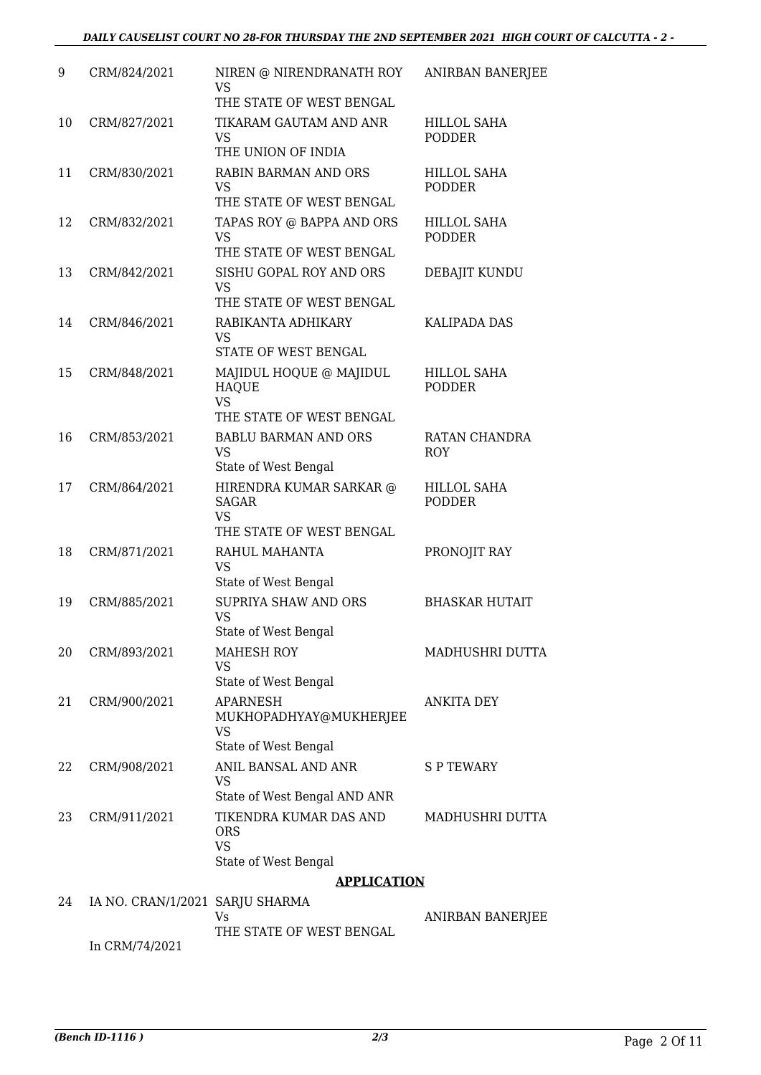| 9  | CRM/824/2021                    | NIREN @ NIRENDRANATH ROY<br>VS.<br>THE STATE OF WEST BENGAL                      | ANIRBAN BANERJEE                    |
|----|---------------------------------|----------------------------------------------------------------------------------|-------------------------------------|
| 10 | CRM/827/2021                    | TIKARAM GAUTAM AND ANR<br><b>VS</b><br>THE UNION OF INDIA                        | <b>HILLOL SAHA</b><br><b>PODDER</b> |
| 11 | CRM/830/2021                    | RABIN BARMAN AND ORS<br><b>VS</b><br>THE STATE OF WEST BENGAL                    | <b>HILLOL SAHA</b><br><b>PODDER</b> |
| 12 | CRM/832/2021                    | TAPAS ROY @ BAPPA AND ORS<br><b>VS</b><br>THE STATE OF WEST BENGAL               | <b>HILLOL SAHA</b><br><b>PODDER</b> |
| 13 | CRM/842/2021                    | SISHU GOPAL ROY AND ORS<br>VS<br>THE STATE OF WEST BENGAL                        | DEBAJIT KUNDU                       |
| 14 | CRM/846/2021                    | RABIKANTA ADHIKARY<br>VS.<br>STATE OF WEST BENGAL                                | <b>KALIPADA DAS</b>                 |
| 15 | CRM/848/2021                    | MAJIDUL HOQUE @ MAJIDUL<br><b>HAQUE</b><br>VS                                    | <b>HILLOL SAHA</b><br><b>PODDER</b> |
|    |                                 | THE STATE OF WEST BENGAL                                                         |                                     |
| 16 | CRM/853/2021                    | <b>BABLU BARMAN AND ORS</b><br><b>VS</b><br>State of West Bengal                 | RATAN CHANDRA<br><b>ROY</b>         |
| 17 | CRM/864/2021                    | HIRENDRA KUMAR SARKAR @<br><b>SAGAR</b><br><b>VS</b><br>THE STATE OF WEST BENGAL | <b>HILLOL SAHA</b><br><b>PODDER</b> |
| 18 | CRM/871/2021                    | RAHUL MAHANTA<br>VS<br>State of West Bengal                                      | PRONOJIT RAY                        |
| 19 | CRM/885/2021                    | <b>SUPRIYA SHAW AND ORS</b><br>VS<br>State of West Bengal                        | <b>BHASKAR HUTAIT</b>               |
| 20 | CRM/893/2021                    | <b>MAHESH ROY</b><br>VS<br>State of West Bengal                                  | MADHUSHRI DUTTA                     |
| 21 | CRM/900/2021                    | <b>APARNESH</b><br>MUKHOPADHYAY@MUKHERJEE<br>VS<br>State of West Bengal          | ANKITA DEY                          |
| 22 | CRM/908/2021                    | ANIL BANSAL AND ANR<br>VS<br>State of West Bengal AND ANR                        | S P TEWARY                          |
| 23 | CRM/911/2021                    | TIKENDRA KUMAR DAS AND<br><b>ORS</b><br><b>VS</b>                                | MADHUSHRI DUTTA                     |
|    |                                 | State of West Bengal                                                             |                                     |
|    |                                 | <b>APPLICATION</b>                                                               |                                     |
| 24 | IA NO. CRAN/1/2021 SARJU SHARMA |                                                                                  |                                     |
|    |                                 | Vs<br>THE STATE OF WEST BENGAL                                                   | ANIRBAN BANERJEE                    |

In CRM/74/2021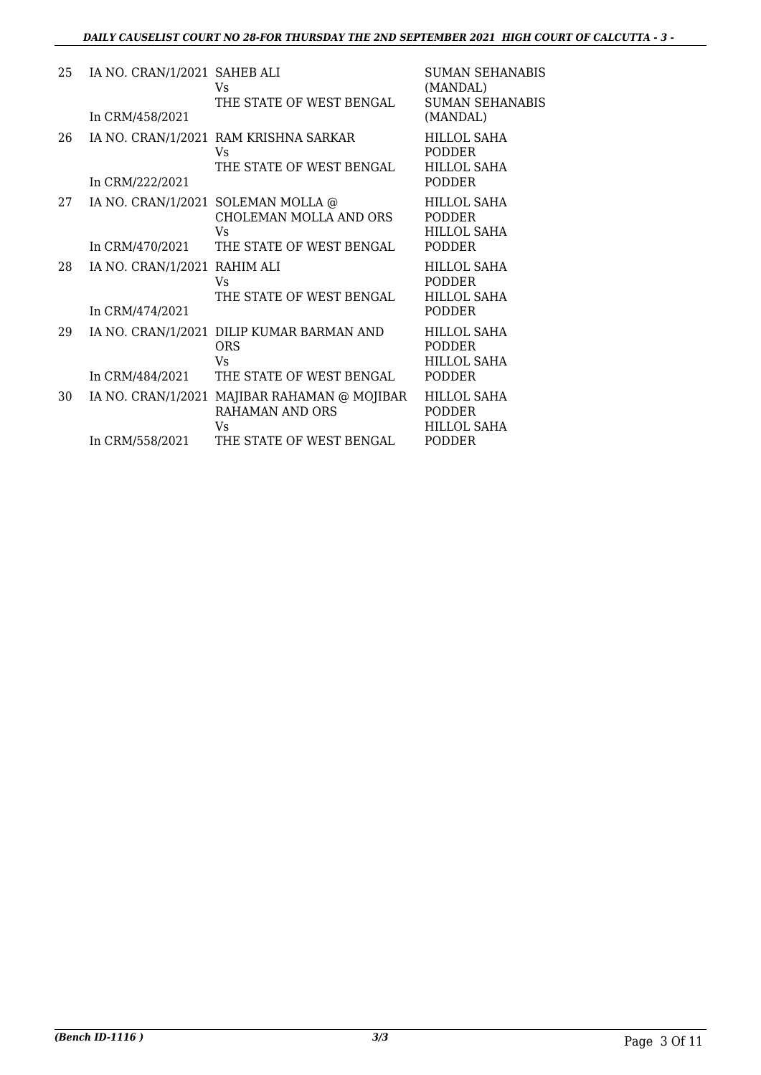| 25 | IA NO. CRAN/1/2021 SAHEB ALI<br>In CRM/458/2021 | Vs<br>THE STATE OF WEST BENGAL                                                                           | SUMAN SEHANABIS<br>(MANDAL)<br><b>SUMAN SEHANABIS</b><br>(MANDAL)          |
|----|-------------------------------------------------|----------------------------------------------------------------------------------------------------------|----------------------------------------------------------------------------|
| 26 | In CRM/222/2021                                 | IA NO. CRAN/1/2021 RAM KRISHNA SARKAR<br>Vs<br>THE STATE OF WEST BENGAL                                  | <b>HILLOL SAHA</b><br><b>PODDER</b><br><b>HILLOL SAHA</b><br><b>PODDER</b> |
| 27 | In CRM/470/2021                                 | IA NO. CRAN/1/2021 SOLEMAN MOLLA @<br>CHOLEMAN MOLLA AND ORS<br>Vs<br>THE STATE OF WEST BENGAL           | HILLOL SAHA<br><b>PODDER</b><br><b>HILLOL SAHA</b><br><b>PODDER</b>        |
| 28 | IA NO. CRAN/1/2021 RAHIM ALI<br>In CRM/474/2021 | Vs<br>THE STATE OF WEST BENGAL                                                                           | <b>HILLOL SAHA</b><br><b>PODDER</b><br><b>HILLOL SAHA</b><br><b>PODDER</b> |
| 29 | In CRM/484/2021                                 | IA NO. CRAN/1/2021 DILIP KUMAR BARMAN AND<br><b>ORS</b><br>Vs<br>THE STATE OF WEST BENGAL                | <b>HILLOL SAHA</b><br><b>PODDER</b><br><b>HILLOL SAHA</b><br><b>PODDER</b> |
| 30 | In CRM/558/2021                                 | IA NO. CRAN/1/2021 MAJIBAR RAHAMAN @ MOJIBAR<br><b>RAHAMAN AND ORS</b><br>Vs<br>THE STATE OF WEST BENGAL | <b>HILLOL SAHA</b><br><b>PODDER</b><br><b>HILLOL SAHA</b><br>PODDER        |
|    |                                                 |                                                                                                          |                                                                            |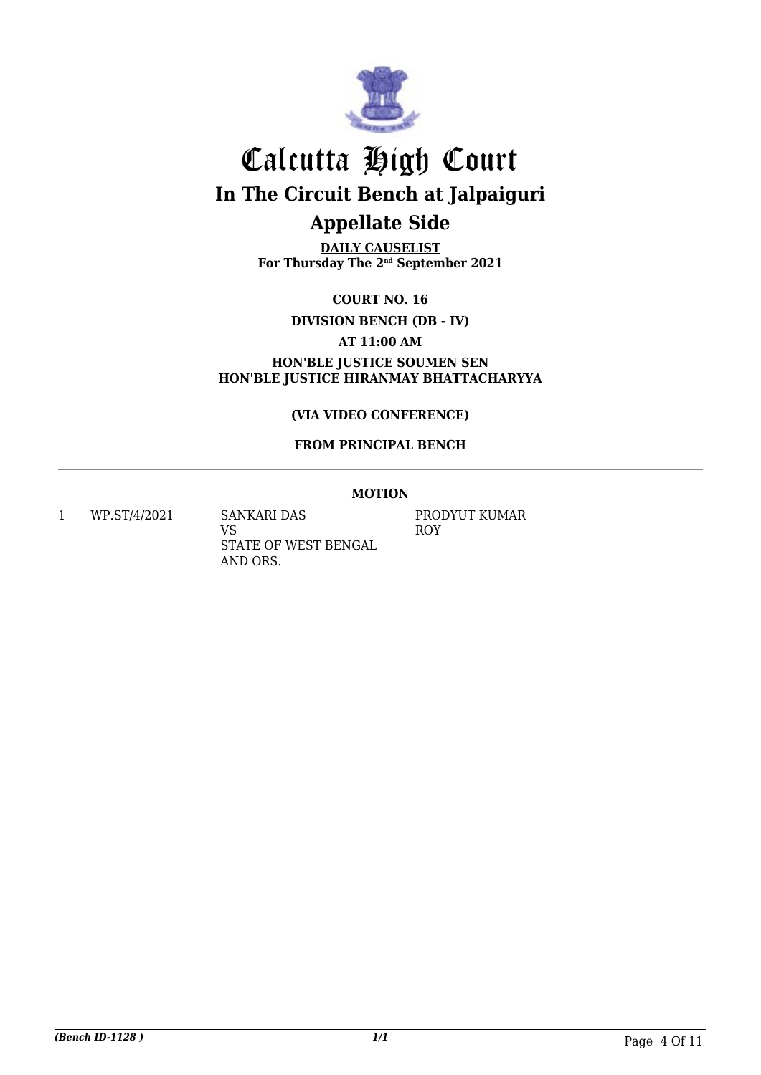

**DAILY CAUSELIST For Thursday The 2nd September 2021**

**COURT NO. 16**

**DIVISION BENCH (DB - IV)**

**AT 11:00 AM**

**HON'BLE JUSTICE SOUMEN SEN HON'BLE JUSTICE HIRANMAY BHATTACHARYYA**

**(VIA VIDEO CONFERENCE)**

#### **FROM PRINCIPAL BENCH**

#### **MOTION**

1 WP.ST/4/2021 SANKARI DAS

VS STATE OF WEST BENGAL AND ORS.

PRODYUT KUMAR ROY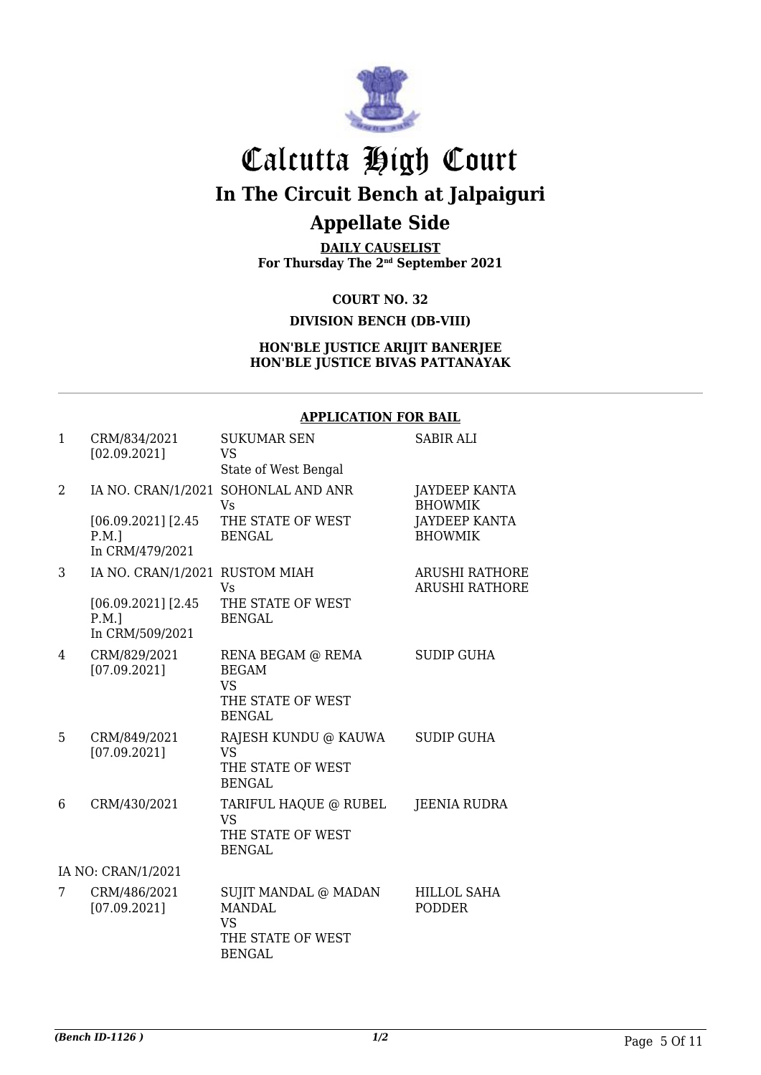

**DAILY CAUSELIST For Thursday The 2nd September 2021**

> **COURT NO. 32 DIVISION BENCH (DB-VIII)**

**HON'BLE JUSTICE ARIJIT BANERJEE HON'BLE JUSTICE BIVAS PATTANAYAK**

#### **APPLICATION FOR BAIL**

| $\mathbf{1}$ | CRM/834/2021<br>[02.09.2021]                                                         | <b>SUKUMAR SEN</b><br><b>VS</b><br>State of West Bengal                                  | <b>SABIR ALI</b>                                                                 |
|--------------|--------------------------------------------------------------------------------------|------------------------------------------------------------------------------------------|----------------------------------------------------------------------------------|
| 2            | $[06.09.2021]$ [2.45]<br>$P.M.$ ]<br>In CRM/479/2021                                 | IA NO. CRAN/1/2021 SOHONLAL AND ANR<br><b>Vs</b><br>THE STATE OF WEST<br><b>BENGAL</b>   | <b>JAYDEEP KANTA</b><br><b>BHOWMIK</b><br><b>JAYDEEP KANTA</b><br><b>BHOWMIK</b> |
| 3            | IA NO. CRAN/1/2021 RUSTOM MIAH<br>[06.09.2021] [2.45]<br>$P.M.$ ]<br>In CRM/509/2021 | <b>Vs</b><br>THE STATE OF WEST<br><b>BENGAL</b>                                          | <b>ARUSHI RATHORE</b><br><b>ARUSHI RATHORE</b>                                   |
| 4            | CRM/829/2021<br>[07.09.2021]                                                         | RENA BEGAM @ REMA<br><b>BEGAM</b><br><b>VS</b><br>THE STATE OF WEST<br><b>BENGAL</b>     | <b>SUDIP GUHA</b>                                                                |
| 5            | CRM/849/2021<br>[07.09.2021]                                                         | RAJESH KUNDU @ KAUWA<br><b>VS</b><br>THE STATE OF WEST<br><b>BENGAL</b>                  | <b>SUDIP GUHA</b>                                                                |
| 6            | CRM/430/2021                                                                         | TARIFUL HAQUE @ RUBEL<br><b>VS</b><br>THE STATE OF WEST<br><b>BENGAL</b>                 | JEENIA RUDRA                                                                     |
|              | IA NO: CRAN/1/2021                                                                   |                                                                                          |                                                                                  |
| 7            | CRM/486/2021<br>[07.09.2021]                                                         | SUJIT MANDAL @ MADAN<br><b>MANDAL</b><br><b>VS</b><br>THE STATE OF WEST<br><b>BENGAL</b> | <b>HILLOL SAHA</b><br><b>PODDER</b>                                              |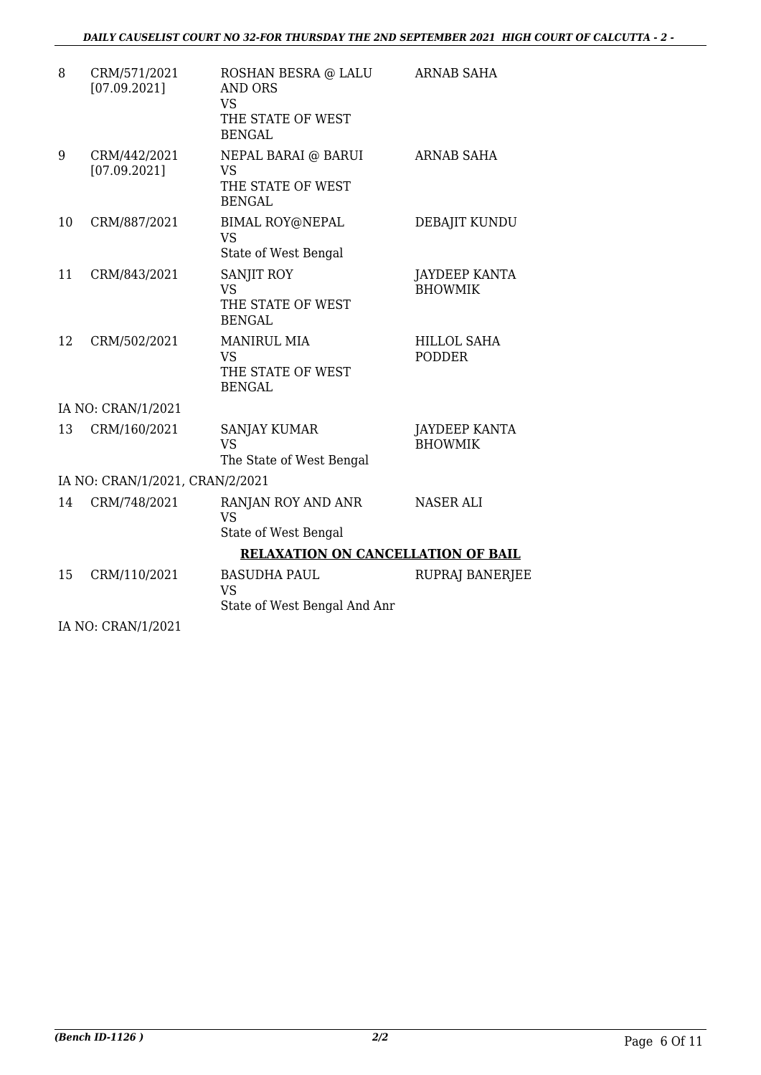| 8  | CRM/571/2021<br>[07.09.2021]    | ROSHAN BESRA @ LALU<br><b>AND ORS</b><br><b>VS</b>                    | <b>ARNAB SAHA</b>                      |
|----|---------------------------------|-----------------------------------------------------------------------|----------------------------------------|
|    |                                 | THE STATE OF WEST<br><b>BENGAL</b>                                    |                                        |
| 9  | CRM/442/2021<br>[07.09.2021]    | NEPAL BARAI @ BARUI<br>VS<br>THE STATE OF WEST<br><b>BENGAL</b>       | <b>ARNAB SAHA</b>                      |
| 10 | CRM/887/2021                    | <b>BIMAL ROY@NEPAL</b><br><b>VS</b><br>State of West Bengal           | DEBAJIT KUNDU                          |
| 11 | CRM/843/2021                    | SANJIT ROY<br>VS<br>THE STATE OF WEST<br><b>BENGAL</b>                | <b>JAYDEEP KANTA</b><br><b>BHOWMIK</b> |
| 12 | CRM/502/2021                    | <b>MANIRUL MIA</b><br><b>VS</b><br>THE STATE OF WEST<br><b>BENGAL</b> | <b>HILLOL SAHA</b><br><b>PODDER</b>    |
|    | IA NO: CRAN/1/2021              |                                                                       |                                        |
| 13 | CRM/160/2021                    | <b>SANJAY KUMAR</b><br><b>VS</b><br>The State of West Bengal          | JAYDEEP KANTA<br><b>BHOWMIK</b>        |
|    | IA NO: CRAN/1/2021, CRAN/2/2021 |                                                                       |                                        |
| 14 | CRM/748/2021                    | RANJAN ROY AND ANR<br><b>VS</b><br>State of West Bengal               | NASER ALI                              |
|    |                                 | <b>RELAXATION ON CANCELLATION OF BAIL</b>                             |                                        |
| 15 | CRM/110/2021                    | <b>BASUDHA PAUL</b><br><b>VS</b><br>State of West Bengal And Anr      | RUPRAJ BANERJEE                        |
|    | IA NO: CRAN/1/2021              |                                                                       |                                        |

*(Bench ID-1126 ) 2/2* Page 6 Of 11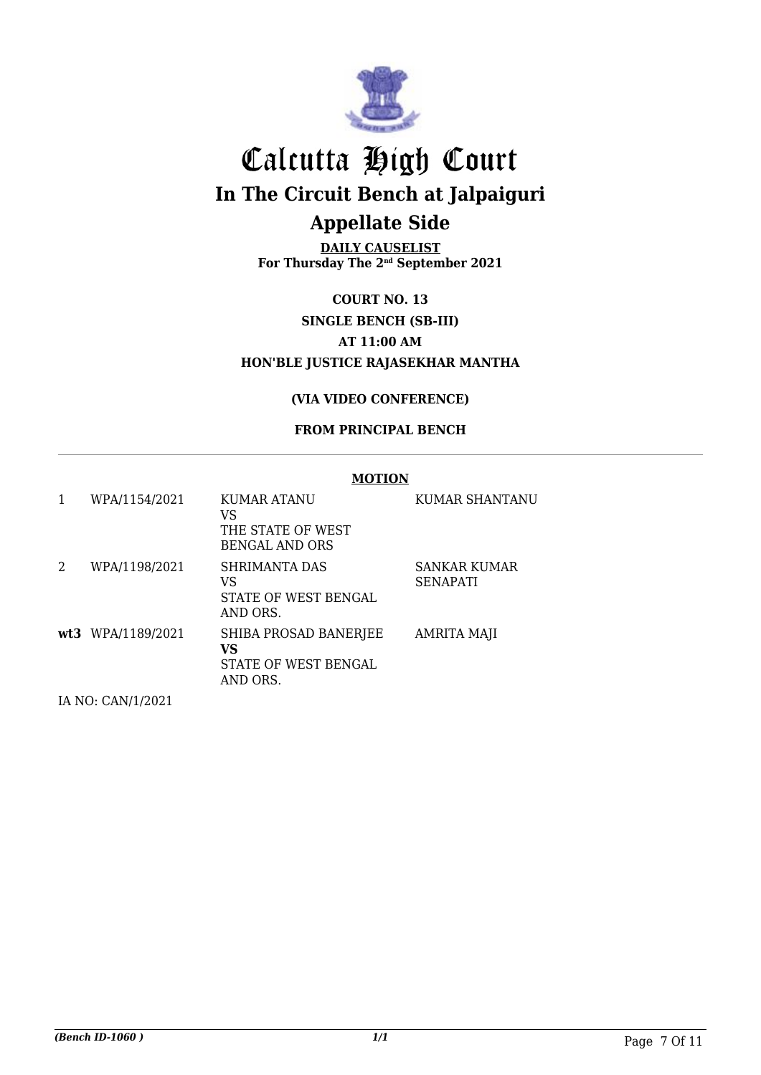

**DAILY CAUSELIST For Thursday The 2nd September 2021**

**COURT NO. 13 SINGLE BENCH (SB-III) AT 11:00 AM HON'BLE JUSTICE RAJASEKHAR MANTHA**

#### **(VIA VIDEO CONFERENCE)**

#### **FROM PRINCIPAL BENCH**

#### **MOTION**

|   | WPA/1154/2021     | KUMAR ATANU<br>VS<br>THE STATE OF WEST<br><b>BENGAL AND ORS</b> | KUMAR SHANTANU                  |
|---|-------------------|-----------------------------------------------------------------|---------------------------------|
| 2 | WPA/1198/2021     | SHRIMANTA DAS<br>VS<br>STATE OF WEST BENGAL<br>AND ORS.         | SANKAR KUMAR<br><b>SENAPATI</b> |
|   | wt3 WPA/1189/2021 | SHIBA PROSAD BANERJEE<br>VS<br>STATE OF WEST BENGAL<br>AND ORS. | <b>AMRITA MAJI</b>              |

IA NO: CAN/1/2021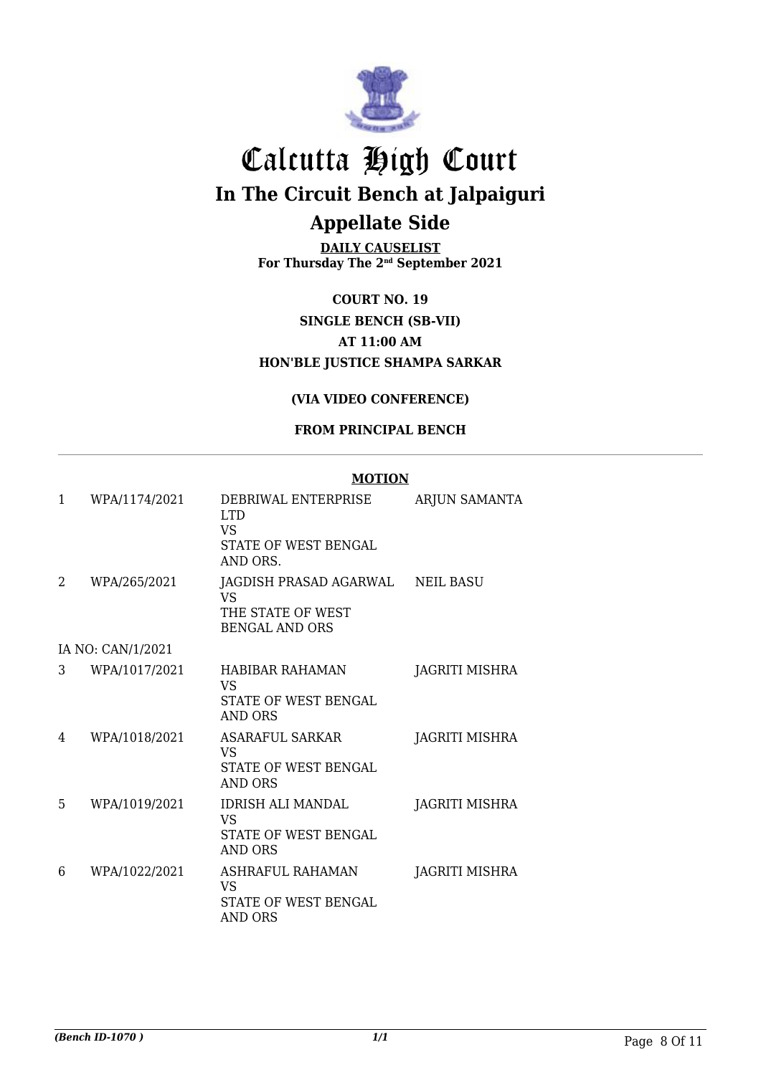

**DAILY CAUSELIST For Thursday The 2nd September 2021**

**COURT NO. 19 SINGLE BENCH (SB-VII) AT 11:00 AM HON'BLE JUSTICE SHAMPA SARKAR**

#### **(VIA VIDEO CONFERENCE)**

#### **FROM PRINCIPAL BENCH**

**MOTION**

|   |                   | <b>MUTION</b>                                                                     |                       |
|---|-------------------|-----------------------------------------------------------------------------------|-----------------------|
| 1 | WPA/1174/2021     | DEBRIWAL ENTERPRISE<br><b>LTD</b><br>VS.<br>STATE OF WEST BENGAL<br>AND ORS.      | ARJUN SAMANTA         |
| 2 | WPA/265/2021      | JAGDISH PRASAD AGARWAL<br><b>VS</b><br>THE STATE OF WEST<br><b>BENGAL AND ORS</b> | <b>NEIL BASU</b>      |
|   | IA NO: CAN/1/2021 |                                                                                   |                       |
| 3 | WPA/1017/2021     | <b>HABIBAR RAHAMAN</b><br><b>VS</b><br>STATE OF WEST BENGAL<br><b>AND ORS</b>     | <b>JAGRITI MISHRA</b> |
| 4 | WPA/1018/2021     | ASARAFUL SARKAR<br>VS<br>STATE OF WEST BENGAL<br><b>AND ORS</b>                   | JAGRITI MISHRA        |
| 5 | WPA/1019/2021     | <b>IDRISH ALI MANDAL</b><br>VS<br>STATE OF WEST BENGAL<br><b>AND ORS</b>          | <b>JAGRITI MISHRA</b> |
| 6 | WPA/1022/2021     | ASHRAFUL RAHAMAN<br><b>VS</b><br><b>STATE OF WEST BENGAL</b><br>AND ORS           | JAGRITI MISHRA        |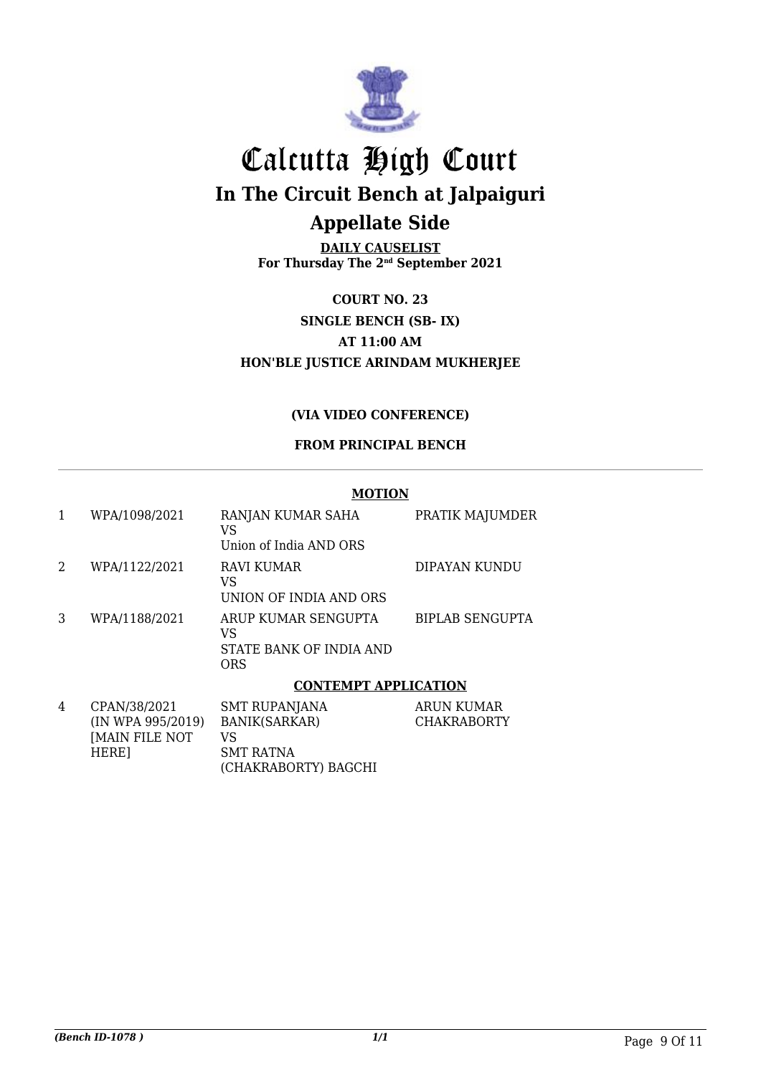

**DAILY CAUSELIST For Thursday The 2nd September 2021**

**COURT NO. 23 SINGLE BENCH (SB- IX) AT 11:00 AM HON'BLE JUSTICE ARINDAM MUKHERJEE**

#### **(VIA VIDEO CONFERENCE)**

#### **FROM PRINCIPAL BENCH**

|   |               | <b>MOTION</b>                                                      |                        |
|---|---------------|--------------------------------------------------------------------|------------------------|
|   | WPA/1098/2021 | RANJAN KUMAR SAHA<br>VS<br>Union of India AND ORS                  | PRATIK MAJUMDER        |
| 2 | WPA/1122/2021 | <b>RAVI KUMAR</b><br>VS<br>UNION OF INDIA AND ORS                  | DIPAYAN KUNDU          |
| 3 | WPA/1188/2021 | ARUP KUMAR SENGUPTA<br>VS<br>STATE BANK OF INDIA AND<br><b>ORS</b> | <b>BIPLAB SENGUPTA</b> |
|   |               | <b>CONTEMPT APPLICATION</b>                                        |                        |
| 4 | CPAN/38/2021  | <b>SMT RUPANJANA</b>                                               | ARUN KUMAR             |

| $\pm$ | UPANJ00/2021      | <b>SMI RUPANJANA</b> | ARUN NUMAR         |
|-------|-------------------|----------------------|--------------------|
|       | (IN WPA 995/2019) | BANIK(SARKAR)        | <b>CHAKRABORTY</b> |
|       | IMAIN FILE NOT    | VS                   |                    |
|       | HERE <sub>1</sub> | SMT RATNA            |                    |
|       |                   | (CHAKRABORTY) BAGCHI |                    |
|       |                   |                      |                    |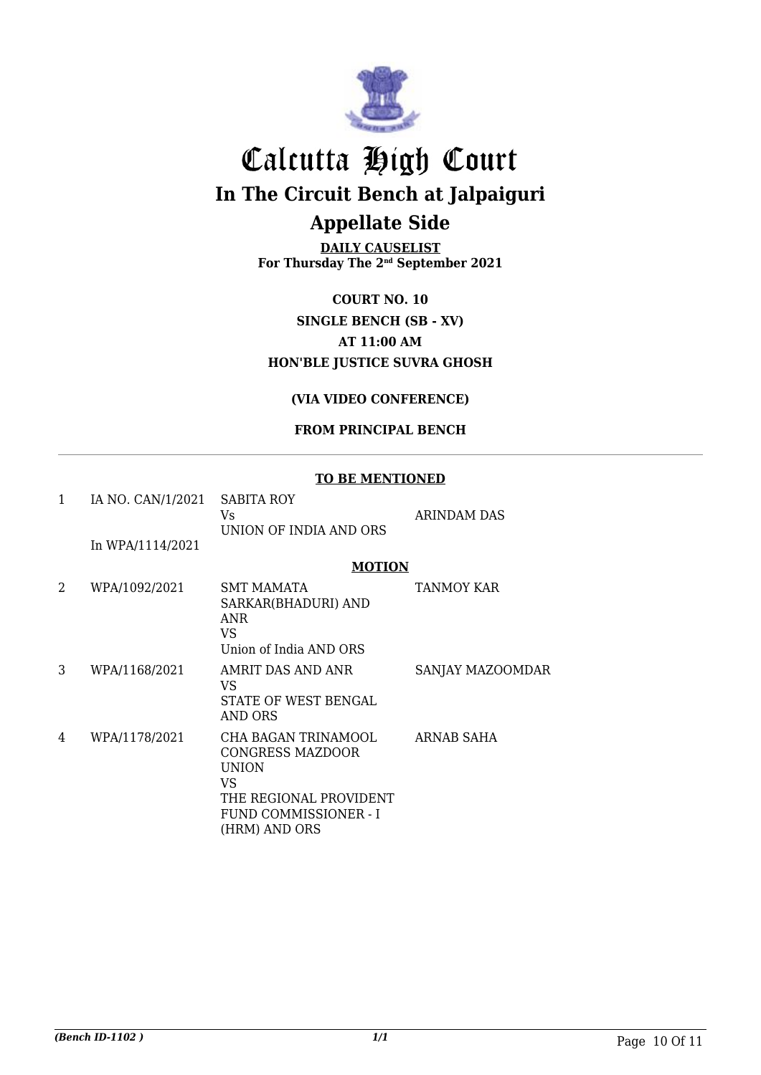

**DAILY CAUSELIST For Thursday The 2nd September 2021**

**COURT NO. 10 SINGLE BENCH (SB - XV) AT 11:00 AM HON'BLE JUSTICE SUVRA GHOSH**

#### **(VIA VIDEO CONFERENCE)**

#### **FROM PRINCIPAL BENCH**

#### **TO BE MENTIONED**

| 1 | IA NO. CAN/1/2021 | SABITA ROY<br>Vs.                                                                                                                  | <b>ARINDAM DAS</b> |
|---|-------------------|------------------------------------------------------------------------------------------------------------------------------------|--------------------|
|   |                   | UNION OF INDIA AND ORS                                                                                                             |                    |
|   | In WPA/1114/2021  |                                                                                                                                    |                    |
|   |                   | <b>MOTION</b>                                                                                                                      |                    |
| 2 | WPA/1092/2021     | <b>SMT MAMATA</b><br>SARKAR(BHADURI) AND<br><b>ANR</b><br><b>VS</b><br>Union of India AND ORS                                      | <b>TANMOY KAR</b>  |
| 3 | WPA/1168/2021     | AMRIT DAS AND ANR<br>VS.<br>STATE OF WEST BENGAL<br>AND ORS                                                                        | SANJAY MAZOOMDAR   |
| 4 | WPA/1178/2021     | CHA BAGAN TRINAMOOL<br>CONGRESS MAZDOOR<br><b>UNION</b><br>VS.<br>THE REGIONAL PROVIDENT<br>FUND COMMISSIONER - I<br>(HRM) AND ORS | ARNAB SAHA         |